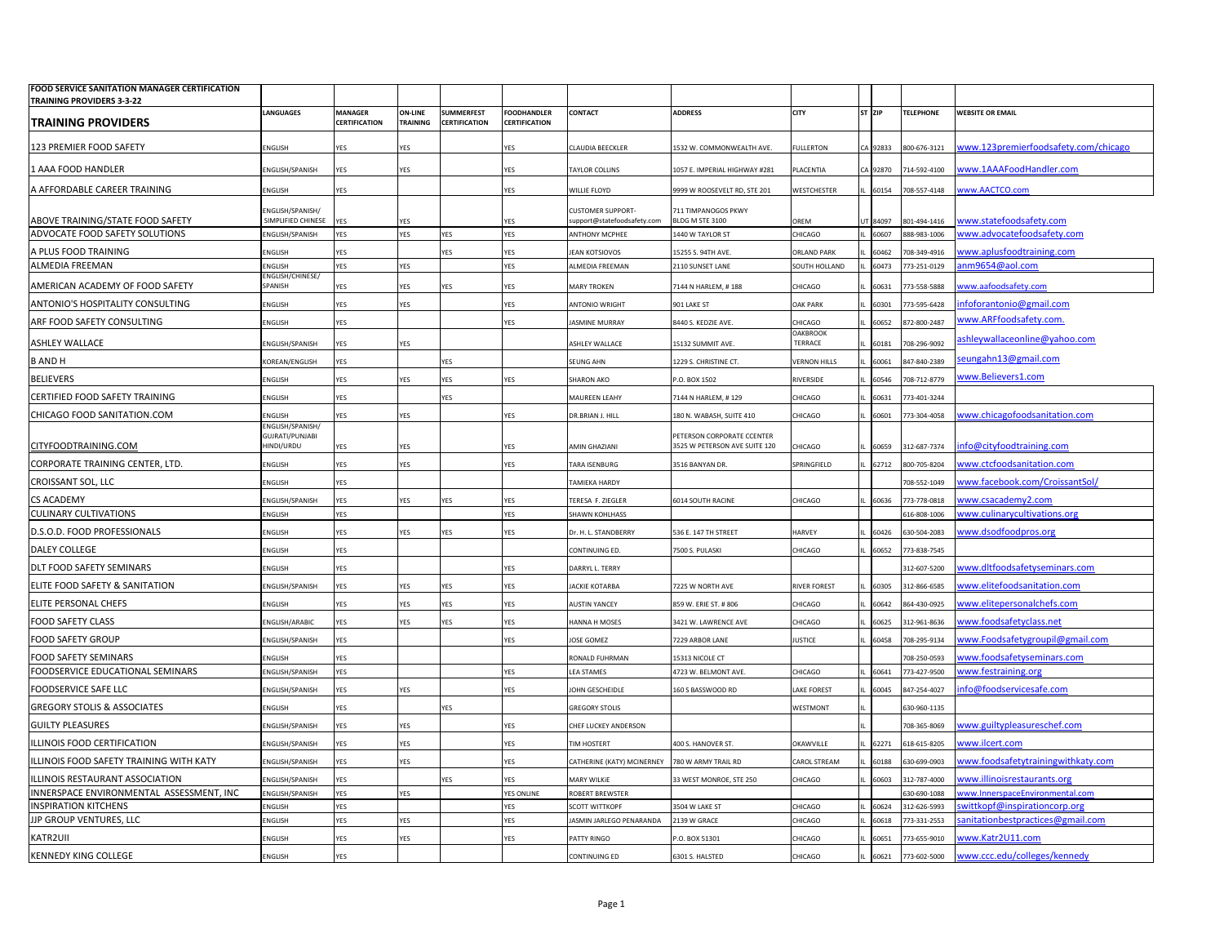| FOOD SERVICE SANITATION MANAGER CERTIFICATION<br><b>TRAINING PROVIDERS 3-3-22</b> |                                      |                                 |                                   |                                    |                                     |                                                     |                                                                   |                                   |                   |                              |                                                                 |
|-----------------------------------------------------------------------------------|--------------------------------------|---------------------------------|-----------------------------------|------------------------------------|-------------------------------------|-----------------------------------------------------|-------------------------------------------------------------------|-----------------------------------|-------------------|------------------------------|-----------------------------------------------------------------|
| <b>TRAINING PROVIDERS</b>                                                         | <b>LANGUAGES</b>                     | <b>MANAGER</b><br>CERTIFICATION | <b>ON-LINE</b><br><b>TRAINING</b> | <b>SUMMERFEST</b><br>CERTIFICATION | <b>FOODHANDLER</b><br>CERTIFICATION | CONTACT                                             | <b>ADDRESS</b>                                                    | <b>CITY</b>                       | ST ZIP            | <b>TELEPHONE</b>             | <b>WEBSITE OR EMAIL</b>                                         |
| 123 PREMIER FOOD SAFETY                                                           | <b>ENGLISH</b>                       | <b>YFS</b>                      | <b>YES</b>                        |                                    | res                                 | CLAUDIA BEECKLER                                    | 1532 W. COMMONWEALTH AVE.                                         | <b>FULLERTON</b>                  | A 92833           | 800-676-3121                 | www.123premierfoodsafety.com/chicago                            |
| 1 AAA FOOD HANDLER                                                                | NGLISH/SPANISH                       | <b>YFS</b>                      | YES                               |                                    | YES                                 | TAYLOR COLLINS                                      | 1057 F. IMPFRIAI HIGHWAY #281                                     | <b>I ACENTIA</b>                  | 92870             | 714-592-4100                 | ww.1AAAFoodHandler.com                                          |
| A AFFORDABLE CAREER TRAINING                                                      | <b>NGLISH</b>                        | YES                             |                                   |                                    | res                                 | <b><i>NILLIE FLOYD</i></b>                          | 999 W ROOSEVELT RD, STE 201                                       | VESTCHESTER                       | 60154             | 08-557-4148                  | ww.AACTCO.com                                                   |
|                                                                                   | NGLISH/SPANISH/                      |                                 |                                   |                                    |                                     | CUSTOMER SUPPORT-                                   | 711 TIMPANOGOS PKWY                                               |                                   |                   |                              |                                                                 |
| ABOVE TRAINING/STATE FOOD SAFETY<br>ADVOCATE FOOD SAFETY SOLUTIONS                | SIMPLIFIED CHINESE<br>NGLISH/SPANISH | <b>YFS</b><br>YES               | YES<br>YES                        | YES                                | res<br>YES                          | upport@statefoodsafety.com<br><b>ANTHONY MCPHEE</b> | BLDG M STE 3100<br>1440 W TAYLOR ST                               | OREM<br><b>HICAGO</b>             | JT 84097<br>60607 | 801-494-1416<br>888-983-1006 | www.statefoodsafety.com<br>www.advocatefoodsafety.com           |
| A PLUS FOOD TRAINING                                                              | <b>NGLISH</b>                        | YES                             |                                   | YES                                | res                                 | <b>EAN KOTSIOVOS</b>                                | 5255 S. 94TH AVE                                                  | <b>ORLAND PARK</b>                | 60462             | 08-349-4916                  | ww.aplusfoodtraining.com                                        |
| ALMEDIA FREEMAN                                                                   | <b>NGLISH</b>                        | YES                             | YES                               |                                    | YES                                 | <b>ALMEDIA FREEMAN</b>                              | 2110 SUNSET LANE                                                  | SOUTH HOLLAND                     | 60473             | 773-251-0129                 | nm9654@aol.com                                                  |
| AMERICAN ACADEMY OF FOOD SAFETY                                                   | NGLISH/CHINESE/<br><b>PANISH</b>     | YES                             | YES                               | YES                                | res                                 | <b>MARY TROKEN</b>                                  | 7144 N HARLEM, #188                                               | CHICAGO                           | 60631             | 773-558-5888                 | vww.aafoodsafety.com                                            |
| ANTONIO'S HOSPITALITY CONSULTING                                                  | <b>NGLISH</b>                        | YES                             | YES                               |                                    | res                                 | <b>INTONIO WRIGHT</b>                               | 901 LAKE ST                                                       | <b>OAK PARK</b>                   | 60301             | 73-595-6428                  | infoforantonio@gmail.com                                        |
| ARF FOOD SAFETY CONSULTING                                                        | <b>NGLISH</b>                        | YES                             |                                   |                                    | res                                 | <b>JASMINE MURRAY</b>                               | 8440 S. KEDZIE AVE.                                               | <b>HICAGO</b>                     | 60652             | 872-800-2487                 | vww.ARFfoodsafety.com.                                          |
| <b>ASHLEY WALLACE</b>                                                             | NGLISH/SPANISH                       | YES                             | YES                               |                                    |                                     | <b>ASHLEY WALLACE</b>                               | 15132 SUMMIT AVE.                                                 | <b>OAKBROOK</b><br><b>TERRACE</b> | 60181             | 708-296-9092                 | ashleywallaceonline@yahoo.com                                   |
| <b>BANDH</b>                                                                      | <b>COREAN/ENGLISH</b>                | YES                             |                                   | <b>YES</b>                         |                                     | <b>SEUNG AHN</b>                                    | 1229 S. CHRISTINE CT.                                             | <b>VERNON HILLS</b>               | 60061             | 847-840-2389                 | seungahn13@gmail.com                                            |
| <b>BELIEVERS</b>                                                                  | <b>NGLISH</b>                        | YES                             | YES                               | YES                                | <b>ES</b>                           | <b>SHARON AKO</b>                                   | P.O. BOX 1502                                                     | RIVERSIDE                         | 60546             | 08-712-8779                  | www.Believers1.com                                              |
| CERTIFIED FOOD SAFETY TRAINING                                                    | <b>NGLISH</b>                        | YES                             |                                   | YES                                |                                     | MAUREEN LEAHY                                       | 7144 N HARLEM, #129                                               | <b>HICAGO</b>                     | 60631             | 773-401-3244                 |                                                                 |
|                                                                                   |                                      |                                 |                                   |                                    |                                     |                                                     |                                                                   |                                   |                   |                              |                                                                 |
| CHICAGO FOOD SANITATION.COM                                                       | <b>NGI ISH</b><br>NGLISH/SPANISH/    | 'ES                             | <b>YFS</b>                        |                                    | <b>ES</b>                           | <b>DR.BRIAN J. HILL</b>                             | 180 N. WABASH, SUITE 410                                          | <b>HICAGO</b>                     | 60601             | 73-304-4058                  | ww.chicagofoodsanitation.com                                    |
| CITYFOODTRAINING.COM                                                              | GUJRATI/PUNJABI<br><b>IINDI/URDU</b> | YES                             | YES                               |                                    | res                                 | MIN GHAZIANI                                        | <b>ETERSON CORPORATE CCENTER</b><br>3525 W PETERSON AVE SUITE 120 | <b>HICAGO</b>                     | 60659             | 312-687-7374                 | nfo@cityfoodtraining.com                                        |
| CORPORATE TRAINING CENTER, LTD.                                                   | <b>NGLISH</b>                        | YES                             | YES                               |                                    | YES                                 | <b>TARA ISENBURG</b>                                | 3516 BANYAN DR                                                    | PRINGFIELD                        | 62712             | 800-705-8204                 | www.ctcfoodsanitation.com                                       |
|                                                                                   |                                      |                                 |                                   |                                    |                                     |                                                     |                                                                   |                                   |                   |                              |                                                                 |
| CROISSANT SOL, LLC                                                                | <b>NGLISH</b>                        | YES                             |                                   |                                    |                                     | <b>TAMIEKA HARDY</b>                                |                                                                   |                                   |                   | 08-552-1049                  | www.facebook.com/CroissantSol/                                  |
| CS ACADEMY<br><b>CULINARY CULTIVATIONS</b>                                        | NGLISH/SPANISH<br><b>NGLISH</b>      | YES<br>YES                      | YES                               | ES.                                | res<br>/ES                          | ERESA F. ZIEGLER<br>HAWN KOHLHASS                   | 6014 SOUTH RACINE                                                 | <b>HICAGO</b>                     | 60636             | 73-778-0818<br>16-808-1006   | www.csacademy2.com<br>www.culinarycultivations.org              |
| D.S.O.D. FOOD PROFESSIONALS                                                       |                                      |                                 |                                   |                                    |                                     |                                                     |                                                                   |                                   |                   |                              | www.dsodfoodpros.org                                            |
|                                                                                   | <b>NGLISH</b>                        | YES                             | YES                               | YES                                | /ES                                 | Dr. H. L. STANDBERRY                                | 536 E. 147 TH STREET                                              | HARVEY                            | 60426             | 530-504-2083                 |                                                                 |
| <b>DALEY COLLEGE</b><br>DLT FOOD SAFETY SEMINARS                                  | <b>ENGLISH</b>                       | YES                             |                                   |                                    |                                     | CONTINUING ED.                                      | 7500 S. PULASKI                                                   | <b>HICAGO</b>                     | 60652             | 773-838-7545                 | www.dltfoodsafetyseminars.com                                   |
| ELITE FOOD SAFETY & SANITATION                                                    | <b>ENGLISH</b><br>INGLISH/SPANISH    | YES<br>YES                      | <b>YES</b>                        | YES                                | res<br>YES                          | DARRYL L. TERRY<br>ACKIE KOTARBA                    | 7225 W NORTH AVE                                                  | RIVER FOREST                      | 60305             | 12-607-5200<br>312-866-6585  | www.elitefoodsanitation.com                                     |
| ELITE PERSONAL CHEFS                                                              | <b>ENGLISH</b>                       | 'ES                             | YES                               | ES.                                | res                                 | <b>AUSTIN YANCEY</b>                                | 859 W. ERIE ST. # 806                                             | <b>HICAGO</b>                     | 60642             | 364-430-0925                 | ww.elitepersonalchefs.com                                       |
| FOOD SAFETY CLASS                                                                 | NGLISH/ARABIC                        | YES                             | YES                               | YES                                | YES                                 | <b>HANNA H MOSES</b>                                | 3421 W. LAWRENCE AVE                                              | <b>HICAGO</b>                     | 60625             | 12-961-8636                  | ww.foodsafetyclass.net                                          |
| <b>FOOD SAFETY GROUP</b>                                                          | NGLISH/SPANISH                       | 'ES                             |                                   |                                    | res                                 | <b>OSE GOMEZ</b>                                    | 229 ARBOR LANE                                                    | <b>USTICE</b>                     | 60458             | 08-295-9134                  | ww.Foodsafetygroupil@gmail.com                                  |
|                                                                                   |                                      |                                 |                                   |                                    |                                     |                                                     |                                                                   |                                   |                   |                              |                                                                 |
| FOOD SAFETY SEMINARS<br>FOODSERVICE EDUCATIONAL SEMINARS                          | NGLISH<br>NGLISH/SPANISH             | 'ES<br>YES                      |                                   |                                    | res                                 | RONALD FUHRMAN<br><b>EA STAMES</b>                  | 5313 NICOLE CT<br>4723 W. BELMONT AVE                             | <b>HICAGO</b>                     | 60641             | 08-250-0593<br>73-427-9500   | www.foodsafetyseminars.com<br>ww.festraining.org                |
| <b>FOODSERVICE SAFE LLC</b>                                                       | NGLISH/SPANISH                       | YES                             | YES                               |                                    | YES                                 | OHN GESCHEIDLE                                      | 160 S BASSWOOD RD                                                 | AKE FOREST                        | 60045             | 347-254-4027                 | nfo@foodservicesafe.com                                         |
| <b>GREGORY STOLIS &amp; ASSOCIATES</b>                                            | <b>NGLISH</b>                        | YES                             |                                   | <b>FS</b>                          |                                     | <b>GREGORY STOLIS</b>                               |                                                                   | <b>NESTMONT</b>                   |                   | 530-960-1135                 |                                                                 |
| <b>GUILTY PLEASURES</b>                                                           |                                      |                                 |                                   |                                    |                                     |                                                     |                                                                   |                                   |                   |                              | www.guiltypleasureschef.com                                     |
|                                                                                   | NGLISH/SPANISH                       | YES                             | YES                               |                                    | res                                 | CHEF LUCKEY ANDERSON                                |                                                                   |                                   |                   | 08-365-8069                  |                                                                 |
| ILLINOIS FOOD CERTIFICATION                                                       | NGLISH/SPANISH                       | <b>YFS</b>                      | YES                               |                                    | res                                 | <b>TIM HOSTERT</b>                                  | 400 S. HANOVER ST.                                                | OKAWVILLE                         | 62271             | 518-615-8205                 | www.ilcert.com                                                  |
| ILLINOIS FOOD SAFETY TRAINING WITH KATY                                           | NGLISH/SPANISH                       | YES                             | <b>YES</b>                        |                                    | res                                 | CATHERINE (KATY) MCINERNEY                          | 780 W ARMY TRAIL RD                                               | CAROL STREAM                      | 60188             | 530-699-0903                 | www.foodsafetytrainingwithkaty.com                              |
| ILLINOIS RESTAURANT ASSOCIATION                                                   | INGLISH/SPANISH                      | YES                             |                                   | YES                                | <b>YFS</b>                          | <b>MARY WILKIE</b>                                  | 33 WEST MONROE, STE 250                                           | <b>HICAGO</b>                     | 60603             | 312-787-4000                 | www.illinoisrestaurants.org                                     |
| INNERSPACE ENVIRONMENTAL ASSESSMENT, INC<br><b>INSPIRATION KITCHENS</b>           | ENGLISH/SPANISH                      | YES<br>YES                      | YES                               |                                    | YES ONLINE                          | ROBERT BREWSTER                                     |                                                                   |                                   | 60624             | 530-690-1088                 | www.InnerspaceEnvironmental.com<br>wittkopf@inspirationcorp.org |
| JJP GROUP VENTURES, LLC                                                           | <b>ENGLISH</b><br>ENGLISH            | YES                             | YES                               |                                    | res<br>YES                          | <b>SCOTT WITTKOPF</b><br>ASMIN JARLEGO PENARANDA    | 3504 W LAKE ST<br>2139 W GRACE                                    | CHICAGO<br><b>HICAGO</b>          | 60618             | 312-626-5993<br>773-331-2553 | anitationbestpractices@gmail.com                                |
|                                                                                   |                                      |                                 |                                   |                                    |                                     |                                                     |                                                                   |                                   |                   |                              |                                                                 |
| <b>KATR2UII</b>                                                                   | <b>ENGLISH</b>                       | YES                             | <b>YES</b>                        |                                    | /ES                                 | PATTY RINGO                                         | P.O. BOX 51301                                                    | <b>HICAGO</b>                     | 60651             | 73-655-9010                  | www.Katr2U11.com                                                |
| <b>KENNEDY KING COLLEGE</b>                                                       | <b>NGLISH</b>                        | YES                             |                                   |                                    |                                     | CONTINUING ED                                       | 6301 S. HALSTED                                                   | CHICAGO                           | 60621             | 773-602-5000                 | www.ccc.edu/colleges/kennedy                                    |